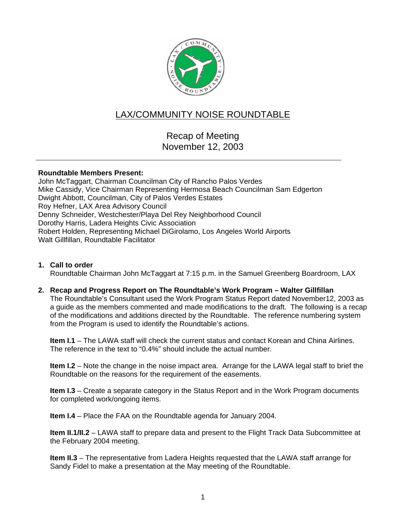

# LAX/COMMUNITY NOISE ROUNDTABLE

Recap of Meeting November 12, 2003

### **Roundtable Members Present:**

John McTaggart, Chairman Councilman City of Rancho Palos Verdes Mike Cassidy, Vice Chairman Representing Hermosa Beach Councilman Sam Edgerton Dwight Abbott, Councilman, City of Palos Verdes Estates Roy Hefner, LAX Area Advisory Council Denny Schneider, Westchester/Playa Del Rey Neighborhood Council Dorothy Harris, Ladera Heights Civic Association Robert Holden, Representing Michael DiGirolamo, Los Angeles World Airports Walt Gillfillan, Roundtable Facilitator

## **1. Call to order**

Roundtable Chairman John McTaggart at 7:15 p.m. in the Samuel Greenberg Boardroom, LAX

### **2. Recap and Progress Report on The Roundtable's Work Program – Walter Gillfillan**

The Roundtable's Consultant used the Work Program Status Report dated November12, 2003 as a guide as the members commented and made modifications to the draft. The following is a recap of the modifications and additions directed by the Roundtable. The reference numbering system from the Program is used to identify the Roundtable's actions.

**Item I.1** – The LAWA staff will check the current status and contact Korean and China Airlines. The reference in the text to "0.4%" should include the actual number.

**Item I.2** – Note the change in the noise impact area. Arrange for the LAWA legal staff to brief the Roundtable on the reasons for the requirement of the easements.

**Item I.3** – Create a separate category in the Status Report and in the Work Program documents for completed work/ongoing items.

**Item I.4** – Place the FAA on the Roundtable agenda for January 2004.

**Item II.1/II.2** – LAWA staff to prepare data and present to the Flight Track Data Subcommittee at the February 2004 meeting.

**Item II.3** – The representative from Ladera Heights requested that the LAWA staff arrange for Sandy Fidel to make a presentation at the May meeting of the Roundtable.